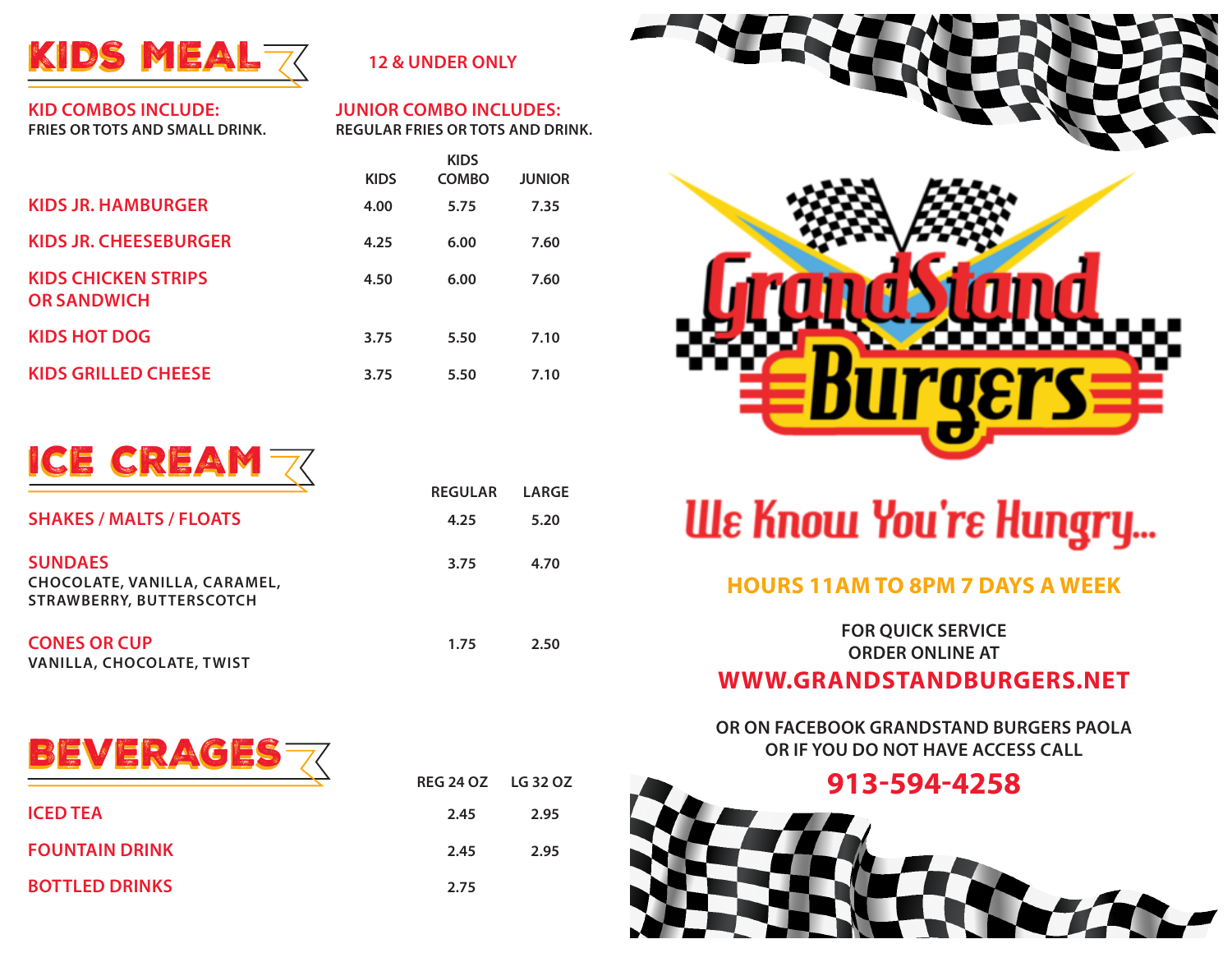

#### **12 & UNDER ONLY**

**KID COMBOS INCLUDE: FRIES OR TOTS AND SMALL DRINK.**

#### **JUNIOR COMBO INCLUDES: REGULAR FRIES OR TOTS AND DRINK.**

**REGULAR LARGE**

**REG 24 OZ LG 32 OZ**

|                                                  | <b>KIDS</b><br><b>COMBO</b><br><b>JUNIOR</b><br><b>KIDS</b> |      |      |
|--------------------------------------------------|-------------------------------------------------------------|------|------|
| KIDS JR. HAMBURGER                               | 4.00                                                        | 5.75 | 7.35 |
| KIDS JR. CHEESEBURGER                            | 4.25                                                        | 6.00 | 7.60 |
| <b>KIDS CHICKEN STRIPS</b><br><b>OR SANDWICH</b> | 4.50                                                        | 6.00 | 7.60 |
| KIDS HOT DOG                                     | 3.75                                                        | 5.50 | 7.10 |
| KIDS GRILLED CHEESE                              | 3.75                                                        | 5.50 | 7.10 |



|                                                                            | nluvlan | LANJL |
|----------------------------------------------------------------------------|---------|-------|
| <b>SHAKES / MALTS / FLOATS</b>                                             | 4.25    | 5.20  |
| <b>SUNDAES</b><br>CHOCOLATE, VANILLA, CARAMEL,<br>STRAWBERRY, BUTTERSCOTCH | 3.75    | 4.70  |
| <b>CONES OR CUP</b><br>VANILLA, CHOCOLATE, TWIST                           | 1.75    | 2.50  |



|                       | RLUZTUZ LUJZUZ |      |
|-----------------------|----------------|------|
| <b>ICED TEA</b>       | 2.45           | 2.95 |
| <b>FOUNTAIN DRINK</b> | 2.45           | 2.95 |
| <b>BOTTLED DRINKS</b> | 2.75           |      |



# **We Know You're Hungry...**

## **HOURS 11AM TO 8PM 7 DAYS A WEEK**

**FOR QUICK SERVICE ORDER ONLINE AT**

# **WWW.GRANDSTANDBURGERS.NET**

**OR ON FACEBOOK GRANDSTAND BURGERS PAOLA OR IF YOU DO NOT HAVE ACCESS CALL**